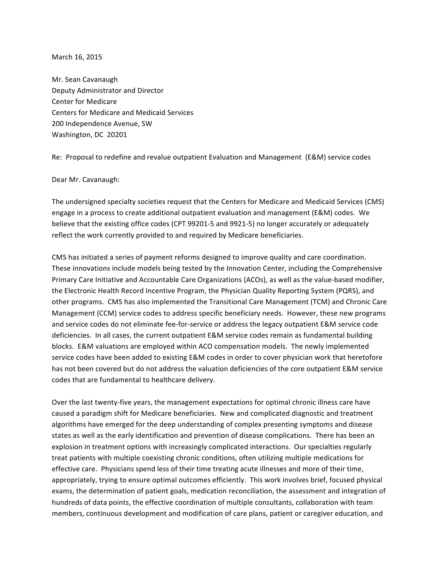March 16, 2015

Mr. Sean Cavanaugh Deputy Administrator and Director Center for Medicare Centers for Medicare and Medicaid Services 200 Independence Avenue, SW Washington, DC 20201

Re: Proposal to redefine and revalue outpatient Evaluation and Management (E&M) service codes

Dear Mr. Cavanaugh:

The undersigned specialty societies request that the Centers for Medicare and Medicaid Services (CMS) engage in a process to create additional outpatient evaluation and management (E&M) codes. We believe that the existing office codes (CPT 99201-5 and 9921-5) no longer accurately or adequately reflect the work currently provided to and required by Medicare beneficiaries.

CMS has initiated a series of payment reforms designed to improve quality and care coordination. These innovations include models being tested by the Innovation Center, including the Comprehensive Primary Care Initiative and Accountable Care Organizations (ACOs), as well as the value-based modifier, the Electronic Health Record Incentive Program, the Physician Quality Reporting System (PQRS), and other programs. CMS has also implemented the Transitional Care Management (TCM) and Chronic Care Management (CCM) service codes to address specific beneficiary needs. However, these new programs and service codes do not eliminate fee-for-service or address the legacy outpatient E&M service code deficiencies. In all cases, the current outpatient E&M service codes remain as fundamental building blocks. E&M valuations are employed within ACO compensation models. The newly implemented service codes have been added to existing E&M codes in order to cover physician work that heretofore has not been covered but do not address the valuation deficiencies of the core outpatient E&M service codes that are fundamental to healthcare delivery.

Over the last twenty-five years, the management expectations for optimal chronic illness care have caused a paradigm shift for Medicare beneficiaries. New and complicated diagnostic and treatment algorithms have emerged for the deep understanding of complex presenting symptoms and disease states as well as the early identification and prevention of disease complications. There has been an explosion in treatment options with increasingly complicated interactions. Our specialties regularly treat patients with multiple coexisting chronic conditions, often utilizing multiple medications for effective care. Physicians spend less of their time treating acute illnesses and more of their time, appropriately, trying to ensure optimal outcomes efficiently. This work involves brief, focused physical exams, the determination of patient goals, medication reconciliation, the assessment and integration of hundreds of data points, the effective coordination of multiple consultants, collaboration with team members, continuous development and modification of care plans, patient or caregiver education, and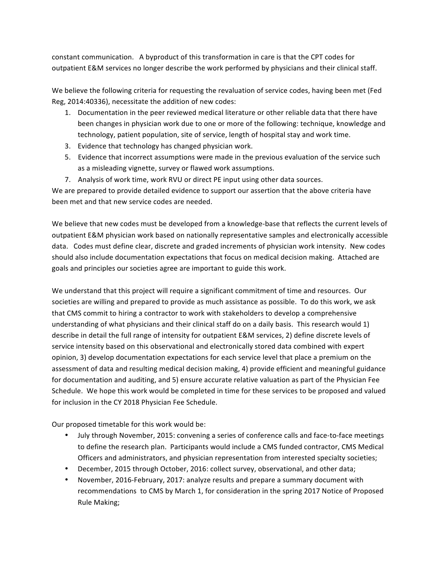constant communication. A byproduct of this transformation in care is that the CPT codes for outpatient E&M services no longer describe the work performed by physicians and their clinical staff.

We believe the following criteria for requesting the revaluation of service codes, having been met (Fed Reg, 2014:40336), necessitate the addition of new codes:

- 1. Documentation in the peer reviewed medical literature or other reliable data that there have been changes in physician work due to one or more of the following: technique, knowledge and technology, patient population, site of service, length of hospital stay and work time.
- 3. Evidence that technology has changed physician work.
- 5. Evidence that incorrect assumptions were made in the previous evaluation of the service such as a misleading vignette, survey or flawed work assumptions.
- 7. Analysis of work time, work RVU or direct PE input using other data sources.

We are prepared to provide detailed evidence to support our assertion that the above criteria have been met and that new service codes are needed.

We believe that new codes must be developed from a knowledge-base that reflects the current levels of outpatient E&M physician work based on nationally representative samples and electronically accessible data. Codes must define clear, discrete and graded increments of physician work intensity. New codes should also include documentation expectations that focus on medical decision making. Attached are goals and principles our societies agree are important to guide this work.

We understand that this project will require a significant commitment of time and resources. Our societies are willing and prepared to provide as much assistance as possible. To do this work, we ask that CMS commit to hiring a contractor to work with stakeholders to develop a comprehensive understanding of what physicians and their clinical staff do on a daily basis. This research would 1) describe in detail the full range of intensity for outpatient E&M services, 2) define discrete levels of service intensity based on this observational and electronically stored data combined with expert opinion, 3) develop documentation expectations for each service level that place a premium on the assessment of data and resulting medical decision making, 4) provide efficient and meaningful guidance for documentation and auditing, and 5) ensure accurate relative valuation as part of the Physician Fee Schedule. We hope this work would be completed in time for these services to be proposed and valued for inclusion in the CY 2018 Physician Fee Schedule.

Our proposed timetable for this work would be:

- July through November, 2015: convening a series of conference calls and face-to-face meetings to define the research plan. Participants would include a CMS funded contractor, CMS Medical Officers and administrators, and physician representation from interested specialty societies;
- December, 2015 through October, 2016: collect survey, observational, and other data;
- November, 2016-February, 2017: analyze results and prepare a summary document with recommendations to CMS by March 1, for consideration in the spring 2017 Notice of Proposed Rule Making;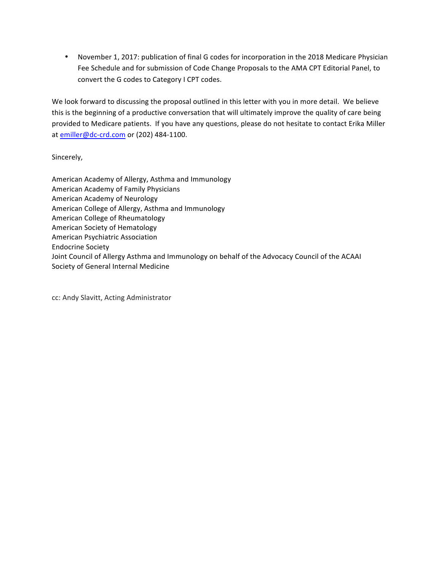• November 1, 2017: publication of final G codes for incorporation in the 2018 Medicare Physician Fee Schedule and for submission of Code Change Proposals to the AMA CPT Editorial Panel, to convert the G codes to Category I CPT codes.

We look forward to discussing the proposal outlined in this letter with you in more detail. We believe this is the beginning of a productive conversation that will ultimately improve the quality of care being provided to Medicare patients. If you have any questions, please do not hesitate to contact Erika Miller at emiller@dc-crd.com or (202) 484-1100.

Sincerely,

American Academy of Allergy, Asthma and Immunology American Academy of Family Physicians American Academy of Neurology American College of Allergy, Asthma and Immunology American College of Rheumatology American Society of Hematology American Psychiatric Association Endocrine Society Joint Council of Allergy Asthma and Immunology on behalf of the Advocacy Council of the ACAAI Society of General Internal Medicine

cc: Andy Slavitt, Acting Administrator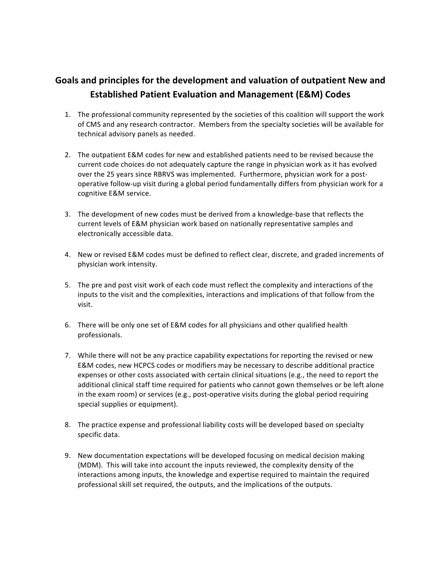## Goals and principles for the development and valuation of outpatient New and **Established Patient Evaluation and Management (E&M) Codes**

- 1. The professional community represented by the societies of this coalition will support the work of CMS and any research contractor. Members from the specialty societies will be available for technical advisory panels as needed.
- 2. The outpatient E&M codes for new and established patients need to be revised because the current code choices do not adequately capture the range in physician work as it has evolved over the 25 years since RBRVS was implemented. Furthermore, physician work for a postoperative follow-up visit during a global period fundamentally differs from physician work for a cognitive E&M service.
- 3. The development of new codes must be derived from a knowledge-base that reflects the current levels of E&M physician work based on nationally representative samples and electronically accessible data.
- 4. New or revised E&M codes must be defined to reflect clear, discrete, and graded increments of physician work intensity.
- 5. The pre and post visit work of each code must reflect the complexity and interactions of the inputs to the visit and the complexities, interactions and implications of that follow from the visit.
- 6. There will be only one set of E&M codes for all physicians and other qualified health professionals.
- 7. While there will not be any practice capability expectations for reporting the revised or new E&M codes, new HCPCS codes or modifiers may be necessary to describe additional practice expenses or other costs associated with certain clinical situations (e.g., the need to report the additional clinical staff time required for patients who cannot gown themselves or be left alone in the exam room) or services (e.g., post-operative visits during the global period requiring special supplies or equipment).
- 8. The practice expense and professional liability costs will be developed based on specialty specific data.
- 9. New documentation expectations will be developed focusing on medical decision making (MDM). This will take into account the inputs reviewed, the complexity density of the interactions among inputs, the knowledge and expertise required to maintain the required professional skill set required, the outputs, and the implications of the outputs.